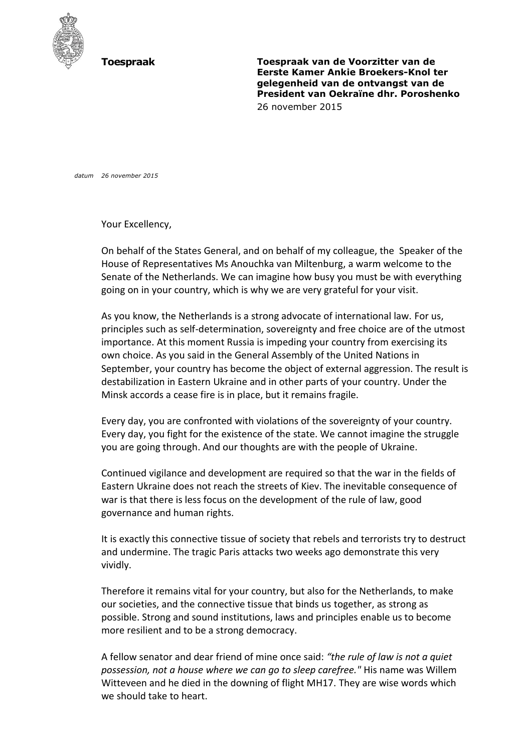

**Toespraak Toespraak van de Voorzitter van de Eerste Kamer Ankie Broekers-Knol ter gelegenheid van de ontvangst van de President van Oekraïne dhr. Poroshenko** 26 november 2015

*datum 26 november 2015*

Your Excellency,

On behalf of the States General, and on behalf of my colleague, the Speaker of the House of Representatives Ms Anouchka van Miltenburg, a warm welcome to the Senate of the Netherlands. We can imagine how busy you must be with everything going on in your country, which is why we are very grateful for your visit.

As you know, the Netherlands is a strong advocate of international law. For us, principles such as self-determination, sovereignty and free choice are of the utmost importance. At this moment Russia is impeding your country from exercising its own choice. As you said in the General Assembly of the United Nations in September, your country has become the object of external aggression. The result is destabilization in Eastern Ukraine and in other parts of your country. Under the Minsk accords a cease fire is in place, but it remains fragile.

Every day, you are confronted with violations of the sovereignty of your country. Every day, you fight for the existence of the state. We cannot imagine the struggle you are going through. And our thoughts are with the people of Ukraine.

Continued vigilance and development are required so that the war in the fields of Eastern Ukraine does not reach the streets of Kiev. The inevitable consequence of war is that there is less focus on the development of the rule of law, good governance and human rights.

It is exactly this connective tissue of society that rebels and terrorists try to destruct and undermine. The tragic Paris attacks two weeks ago demonstrate this very vividly.

Therefore it remains vital for your country, but also for the Netherlands, to make our societies, and the connective tissue that binds us together, as strong as possible. Strong and sound institutions, laws and principles enable us to become more resilient and to be a strong democracy.

A fellow senator and dear friend of mine once said: *"the rule of law is not a quiet possession, not a house where we can go to sleep carefree."* His name was Willem Witteveen and he died in the downing of flight MH17. They are wise words which we should take to heart.